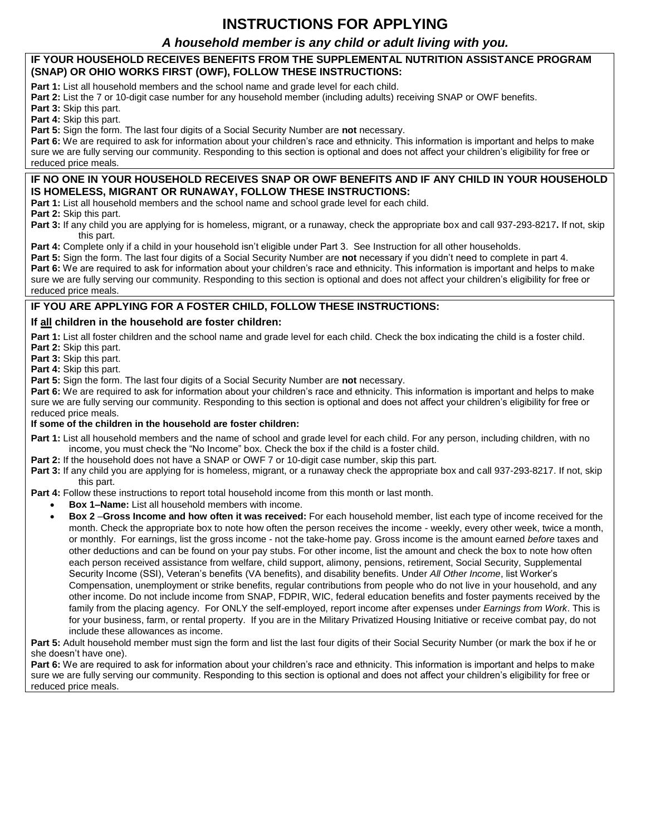# **INSTRUCTIONS FOR APPLYING**

## *A household member is any child or adult living with you.*

#### **IF YOUR HOUSEHOLD RECEIVES BENEFITS FROM THE SUPPLEMENTAL NUTRITION ASSISTANCE PROGRAM (SNAP) OR OHIO WORKS FIRST (OWF), FOLLOW THESE INSTRUCTIONS:**

**Part 1:** List all household members and the school name and grade level for each child.

**Part 2:** List the 7 or 10-digit case number for any household member (including adults) receiving SNAP or OWF benefits.

**Part 3:** Skip this part.

**Part 4:** Skip this part.

**Part 5:** Sign the form. The last four digits of a Social Security Number are **not** necessary.

**Part 6:** We are required to ask for information about your children's race and ethnicity. This information is important and helps to make sure we are fully serving our community. Responding to this section is optional and does not affect your children's eligibility for free or reduced price meals.

#### **IF NO ONE IN YOUR HOUSEHOLD RECEIVES SNAP OR OWF BENEFITS AND IF ANY CHILD IN YOUR HOUSEHOLD IS HOMELESS, MIGRANT OR RUNAWAY, FOLLOW THESE INSTRUCTIONS:**

**Part 1:** List all household members and the school name and school grade level for each child.

**Part 2:** Skip this part.

**Part 3:** If any child you are applying for is homeless, migrant, or a runaway, check the appropriate box and call 937-293-8217**.** If not, skip this part.

Part 4: Complete only if a child in your household isn't eligible under Part 3. See Instruction for all other households.

**Part 5:** Sign the form. The last four digits of a Social Security Number are **not** necessary if you didn't need to complete in part 4. **Part 6:** We are required to ask for information about your children's race and ethnicity. This information is important and helps to make sure we are fully serving our community. Responding to this section is optional and does not affect your children's eligibility for free or reduced price meals.

### **IF YOU ARE APPLYING FOR A FOSTER CHILD, FOLLOW THESE INSTRUCTIONS:**

#### **If all children in the household are foster children:**

Part 1: List all foster children and the school name and grade level for each child. Check the box indicating the child is a foster child. **Part 2:** Skip this part.

**Part 3:** Skip this part.

**Part 4:** Skip this part.

**Part 5:** Sign the form. The last four digits of a Social Security Number are **not** necessary.

**Part 6:** We are required to ask for information about your children's race and ethnicity. This information is important and helps to make sure we are fully serving our community. Responding to this section is optional and does not affect your children's eligibility for free or reduced price meals.

#### **If some of the children in the household are foster children:**

**Part 1:** List all household members and the name of school and grade level for each child. For any person, including children, with no income, you must check the "No Income" box. Check the box if the child is a foster child.

**Part 2:** If the household does not have a SNAP or OWF 7 or 10-digit case number, skip this part.

**Part 3:** If any child you are applying for is homeless, migrant, or a runaway check the appropriate box and call 937-293-8217. If not, skip this part.

Part 4: Follow these instructions to report total household income from this month or last month.

- **Box 1–Name:** List all household members with income.
- **Box 2** –**Gross Income and how often it was received:** For each household member, list each type of income received for the month. Check the appropriate box to note how often the person receives the income - weekly, every other week, twice a month, or monthly. For earnings, list the gross income - not the take-home pay. Gross income is the amount earned *before* taxes and other deductions and can be found on your pay stubs. For other income, list the amount and check the box to note how often each person received assistance from welfare, child support, alimony, pensions, retirement, Social Security, Supplemental Security Income (SSI), Veteran's benefits (VA benefits), and disability benefits. Under *All Other Income*, list Worker's Compensation, unemployment or strike benefits, regular contributions from people who do not live in your household, and any other income. Do not include income from SNAP, FDPIR, WIC, federal education benefits and foster payments received by the family from the placing agency. For ONLY the self-employed, report income after expenses under *Earnings from Work*. This is for your business, farm, or rental property. If you are in the Military Privatized Housing Initiative or receive combat pay, do not include these allowances as income.

**Part 5:** Adult household member must sign the form and list the last four digits of their Social Security Number (or mark the box if he or she doesn't have one).

**Part 6:** We are required to ask for information about your children's race and ethnicity. This information is important and helps to make sure we are fully serving our community. Responding to this section is optional and does not affect your children's eligibility for free or reduced price meals.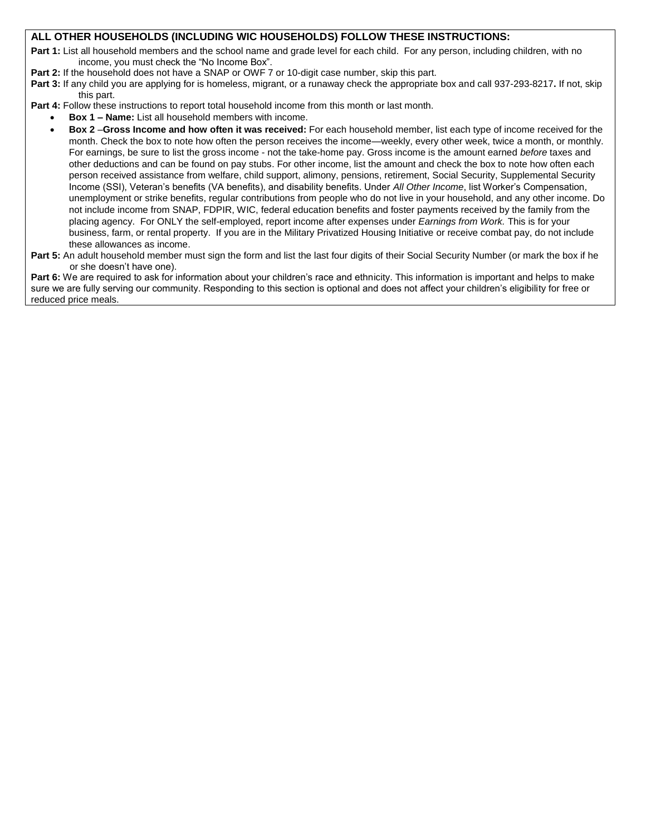#### **ALL OTHER HOUSEHOLDS (INCLUDING WIC HOUSEHOLDS) FOLLOW THESE INSTRUCTIONS:**

- Part 1: List all household members and the school name and grade level for each child. For any person, including children, with no income, you must check the "No Income Box".
- **Part 2:** If the household does not have a SNAP or OWF 7 or 10-digit case number, skip this part.
- **Part 3:** If any child you are applying for is homeless, migrant, or a runaway check the appropriate box and call 937-293-8217**.** If not, skip this part.

Part 4: Follow these instructions to report total household income from this month or last month.

- **Box 1 – Name:** List all household members with income.
- **Box 2** –**Gross Income and how often it was received:** For each household member, list each type of income received for the month. Check the box to note how often the person receives the income—weekly, every other week, twice a month, or monthly. For earnings, be sure to list the gross income - not the take-home pay. Gross income is the amount earned *before* taxes and other deductions and can be found on pay stubs. For other income, list the amount and check the box to note how often each person received assistance from welfare, child support, alimony, pensions, retirement, Social Security, Supplemental Security Income (SSI), Veteran's benefits (VA benefits), and disability benefits. Under *All Other Income*, list Worker's Compensation, unemployment or strike benefits, regular contributions from people who do not live in your household, and any other income. Do not include income from SNAP, FDPIR, WIC, federal education benefits and foster payments received by the family from the placing agency. For ONLY the self-employed, report income after expenses under *Earnings from Work.* This is for your business, farm, or rental property. If you are in the Military Privatized Housing Initiative or receive combat pay, do not include these allowances as income.
- **Part 5:** An adult household member must sign the form and list the last four digits of their Social Security Number (or mark the box if he or she doesn't have one).

Part 6: We are required to ask for information about your children's race and ethnicity. This information is important and helps to make sure we are fully serving our community. Responding to this section is optional and does not affect your children's eligibility for free or reduced price meals.